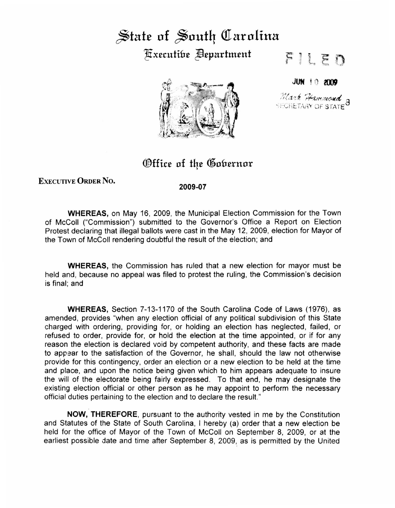## ~tat£ **of** ~outq **Qlarolina**  ~xccutifn~ ~cpartmcnt



FILED

JUN ! 0 **200P** 

*}/(dat <del>Hammord</del>* 8

## Office of the Gobernor

## EXECUTIVE ORDER No.

**2009-07** 

**WHEREAS,** on May 16, 2009, the Municipal Election Commission for the Town of McColl ("Commission") submitted to the Governor's Office a Report on Election Protest declaring that illegal ballots were cast in the May 12, 2009, election for Mayor of the Town of McColl rendering doubtful the result of the election; and

**WHEREAS,** the Commission has ruled that a new election for mayor must be held and, because no appeal was filed to protest the ruling, the Commission's decision is final; and

**WHEREAS,** Section 7-13-1170 of the South Carolina Code of Laws (1976), as amended, provides "when any election official of any political subdivision of this State charged with ordering, providing for, or holding an election has neglected, failed, or refused to order, provide for, or hold the election at the time appointed, or if for any reason the election is declared void by competent authority, and these facts are made to appear to the satisfaction of the Governor, he shall, should the law not otherwise provide for this contingency, order an election or a new election to be held at the time and place, and upon the notice being given which to him appears adequate to insure the will of the electorate being fairly expressed. To that end, he may designate the existing election official or other person as he may appoint to perform the necessary official duties pertaining to the election and to declare the result."

**NOW, THEREFORE,** pursuant to the authority vested in me by the Constitution and Statutes of the State of South Carolina, I hereby (a) order that a new election be held for the office of Mayor of the Town of McColl on September 8, 2009, or at the earliest possible date and time after September 8, 2009, as is permitted by the United